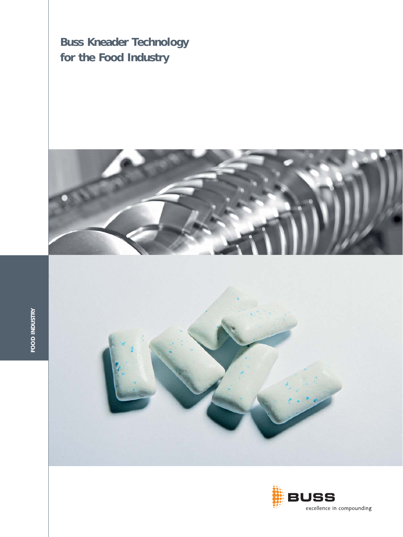**Buss Kneader Technology for the Food Industry**







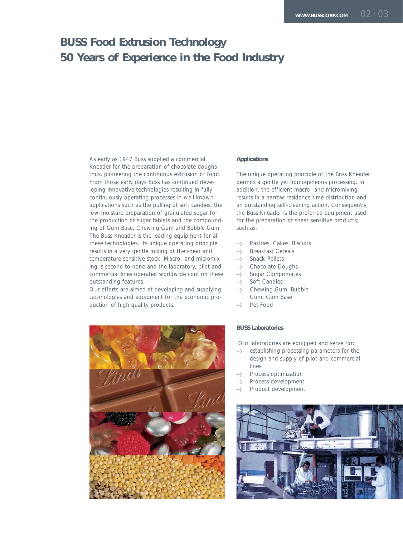### **BUSS Food Extrusion Technology 50 Years of Experience in the Food Industry**

As early as 1947 Buss supplied a commercial Kneader for the preparation of chocolate doughs thus, pioneering the continuous extrusion of food. From those early days Buss has continued deve loping innovative technologies resulting in fully continuously operating processes in well known applications such as the pulling of soft candies, the low-moisture preparation of granulated sugar for the production of sugar tablets and the compounding of Gum Base, Chewing Gum and Bubble Gum. The Buss Kneader is the leading equipment for all these technologies. Its unique operating principle results in a very gentle mixing of the shear and temperature sensitive stock. Macro- and micromixing is second to none and the laboratory, pilot and commercial lines operated worldwide confirm these outstanding features.

Our efforts are aimed at developing and supplying technologies and equipment for the economic production of high quality products.



#### **Applications**

The unique operating principle of the Buss Kneader permits a gentle yet homogeneous processing. In addition, the efficient macro- and micromixing results in a narrow residence time distribution and an outstanding self-cleaning action. Consequently, the Buss Kneader is the preferred equipment used for the preparation of shear sensitive products; such as:

- -> Pastries, Cakes, Biscuits
- > Breakfast Cereals
- > Snack-Pellets
- $\rightarrow$  Chocolate Doughs
- ->>>>>>> Sugar Comprimates
- -> Soft Candies
- -> Chewing Gum, Bubble Gum, Gum Base
- > Pet Food

#### **BUSS Laboratories**

Our laboratories are equipped and serve for:

- $\rightarrow$  establishing processing parameters for the design and supply of pilot and commercial lines
- -> Process optimization
- $\Rightarrow$  Process development
- ->>>>>>>> Product development

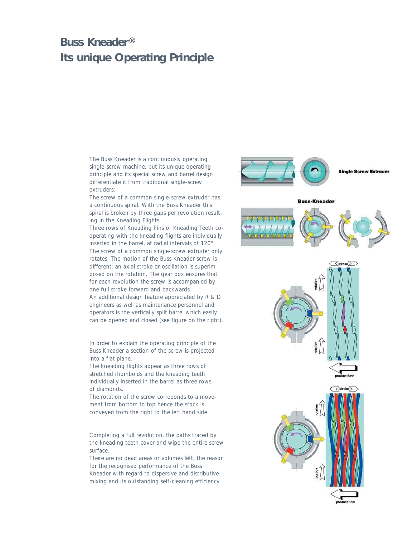## **Buss Kneader® Its unique Operating Principle**

The Buss Kneader is a continuously operating single-screw machine, but its unique operating principle and its special screw and barrel design differentiate it from traditional single-screw extruders:

The screw of a common single-screw extruder has a continuous spiral. With the Buss Kneader this spiral is broken by three gaps per revolution resulting in the Kneading Flights.

Three rows of Kneading Pins or Kneading Teeth cooperating with the kneading flights are individually inserted in the barrel, at radial intervals of 120°. The screw of a common single-screw extruder only rotates. The motion of the Buss Kneader screw is different: an axial stroke or oscillation is superimposed on the rotation. The gear box ensures that for each revolution the screw is accompanied by one full stroke forward and backwards. An additional design feature appreciated by R & D engineers as well as maintenance personnel and operators is the vertically split barrel which easily can be opened and closed (see figure on the right).

In order to explain the operating principle of the Buss Kneader a section of the screw is projected into a flat plane.

The kneading flights appear as three rows of stretched rhomboids and the kneading teeth individually inserted in the barrel as three rows of diamonds.

The rotation of the screw correponds to a movement from bottom to top hence the stock is conveyed from the right to the left hand side.

Completing a full revolution, the paths traced by the kneading teeth cover and wipe the entire screw surface.

There are no dead areas or volumes left; the reason for the recognised performance of the Buss Kneader with regard to dispersive and distributive mixing and its outstanding self-cleaning efficiency.



**Single Screw Extrude** 





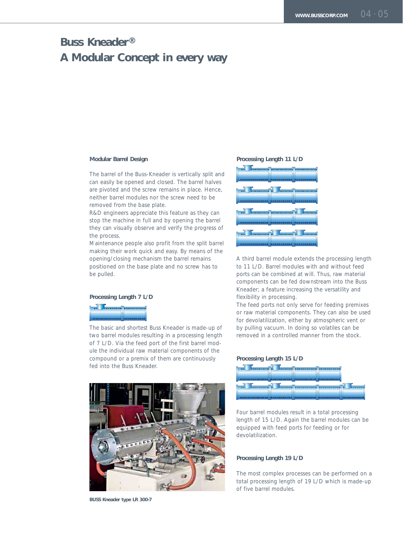## **Buss Kneader® A Modular Concept in every way**

#### **Modular Barrel Design**

The barrel of the Buss-Kneader is vertically split and can easily be opened and closed. The barrel halves are pivoted and the screw remains in place. Hence, neither barrel modules nor the screw need to be removed from the base plate.

R&D engineers appreciate this feature as they can stop the machine in full and by opening the barrel they can visually observe and verify the progress of the process.

Maintenance people also profit from the split barrel making their work quick and easy. By means of the opening/closing mechanism the barrel remains positioned on the base plate and no screw has to be pulled.

#### **Processing Length 7 L/D**

The basic and shortest Buss Kneader is made-up of two barrel modules resulting in a processing length of 7 L/D. Via the feed port of the first barrel module the individual raw material components of the compound or a premix of them are continuously fed into the Buss Kneader.



**BUSS Kneader type LR 300-7**

#### **Processing Length 11 L/D**



A third barrel module extends the processing length to 11 L/D. Barrel modules with and without feed ports can be combined at will. Thus, raw material components can be fed downstream into the Buss Kneader; a feature increasing the versatility and flexibility in processing.

The feed ports not only serve for feeding premixes or raw material components. They can also be used for devolatilization, either by atmospheric vent or by pulling vacuum. In doing so volatiles can be removed in a controlled manner from the stock.

### **Processing Length 15 L/D**



Four barrel modules result in a total processing length of 15 L/D. Again the barrel modules can be equipped with feed ports for feeding or for devolatilization.

#### **Processing Length 19 L/D**

The most complex processes can be performed on a total processing length of 19 L/D which is made-up of five barrel modules.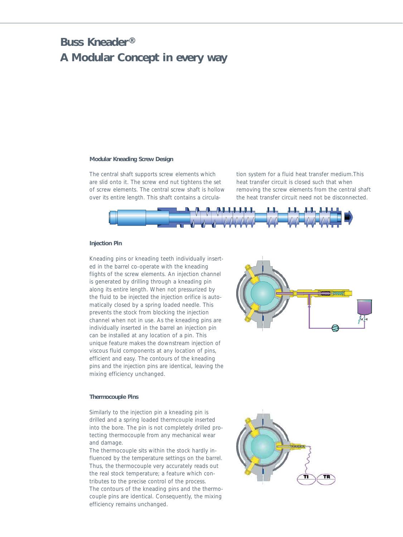### **Buss Kneader® A Modular Concept in every way**

#### **Modular Kneading Screw Design**

The central shaft supports screw elements which are slid onto it. The screw end nut tightens the set of screw elements. The central screw shaft is hollow over its entire length. This shaft contains a circulation system for a fluid heat transfer medium.This heat transfer circuit is closed such that when removing the screw elements from the central shaft the heat transfer circuit need not be disconnected.



#### **Injection Pin**

Kneading pins or kneading teeth individually inserted in the barrel co-operate with the kneading flights of the screw elements. An injection channel is generated by drilling through a kneading pin along its entire length. When not pressurized by the fluid to be injected the injection orifice is automatically closed by a spring loaded needle. This prevents the stock from blocking the injection channel when not in use. As the kneading pins are individually inserted in the barrel an injection pin can be installed at any location of a pin. This unique feature makes the downstream injection of viscous fluid components at any location of pins, efficient and easy. The contours of the kneading pins and the injection pins are identical, leaving the mixing efficiency unchanged.



#### **Thermocouple Pins**

Similarly to the injection pin a kneading pin is drilled and a spring loaded thermcouple inserted into the bore. The pin is not completely drilled protecting thermocouple from any mechanical wear and damage.

The thermocouple sits within the stock hardly influenced by the temperature settings on the barrel. Thus, the thermocouple very accurately reads out the real stock temperature; a feature which contributes to the precise control of the process. The contours of the kneading pins and the thermocouple pins are identical. Consequently, the mixing efficiency remains unchanged.

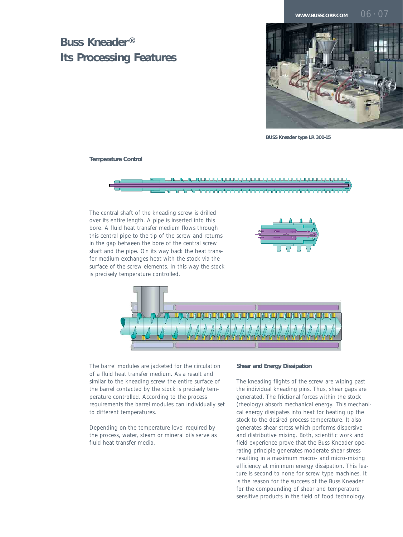### **Buss Kneader® Its Processing Features**



**BUSS Kneader type LR 300-15**

**Temperature Control**



The central shaft of the kneading screw is drilled over its entire length. A pipe is inserted into this bore. A fluid heat transfer medium flows through this central pipe to the tip of the screw and returns in the gap between the bore of the central screw shaft and the pipe. On its way back the heat transfer medium exchanges heat with the stock via the surface of the screw elements. In this way the stock is precisely temperature controlled.





The barrel modules are jacketed for the circulation of a fluid heat transfer medium. As a result and similar to the kneading screw the entire surface of the barrel contacted by the stock is precisely temperature controlled. According to the process requirements the barrel modules can individually set to different temperatures.

Depending on the temperature level required by the process, water, steam or mineral oils serve as fluid heat transfer media.

#### **Shear and Energy Dissipation**

The kneading flights of the screw are wiping past the individual kneading pins. Thus, shear gaps are generated. The frictional forces within the stock (rheology) absorb mechanical energy. This mechanical energy dissipates into heat for heating up the stock to the desired process temperature. It also generates shear stress which performs dispersive and distributive mixing. Both, scientific work and field experience prove that the Buss Kneader operating principle generates moderate shear stress resulting in a maximum macro- and micro-mixing efficiency at minimum energy dissipation. This feature is second to none for screw type machines. It is the reason for the success of the Buss Kneader for the compounding of shear and temperature sensitive products in the field of food technology.